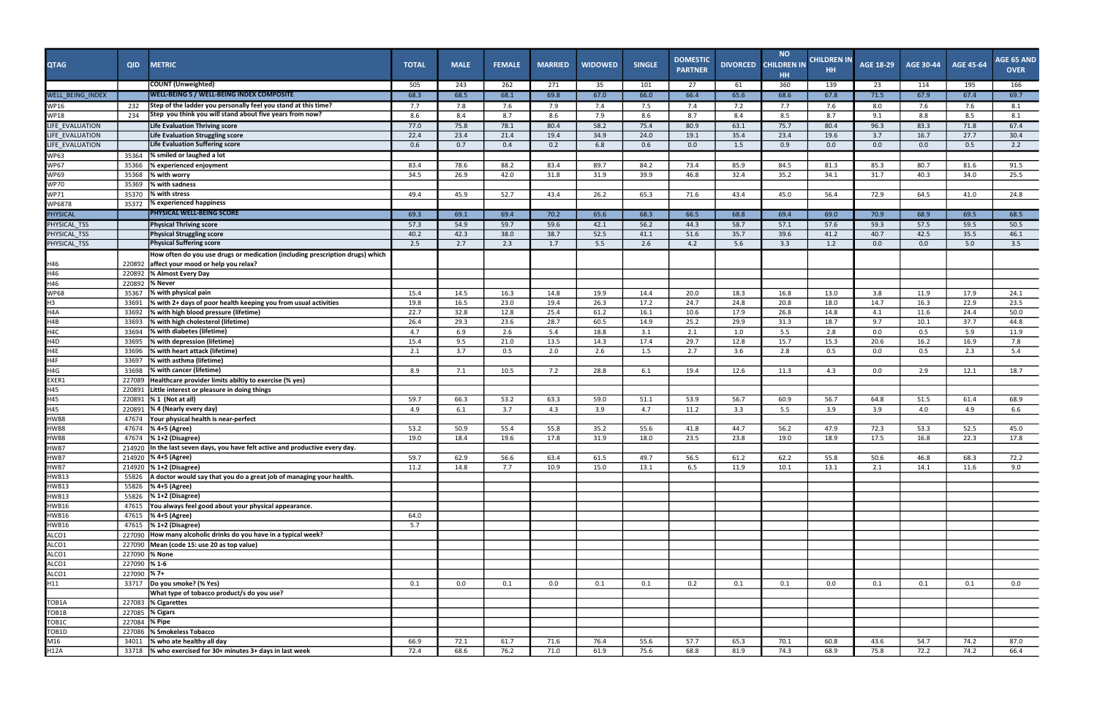| <b>QTAG</b>             | <b>QID</b>       | <b>METRIC</b>                                                                 | <b>TOTAL</b> | <b>MALE</b> | <b>FEMALE</b> | <b>MARRIED</b> | <b>WIDOWED</b> | <b>SINGLE</b> | <b>DOMESTIC</b><br><b>PARTNER</b> | <b>DIVORCED</b> | <b>NO</b><br><b>CHILDREN IN</b><br><b>HH</b> | <b>CHILDREN IN</b><br>HH. | <b>AGE 18-29</b> | <b>AGE 30-44</b> | <b>AGE 45-64</b> | <b>AGE 65 AND</b><br><b>OVER</b> |
|-------------------------|------------------|-------------------------------------------------------------------------------|--------------|-------------|---------------|----------------|----------------|---------------|-----------------------------------|-----------------|----------------------------------------------|---------------------------|------------------|------------------|------------------|----------------------------------|
|                         |                  | <b>COUNT</b> (Unweighted)                                                     | 505          | 243         | 262           | 271            | 35             | 101           | 27                                | 61              | 360                                          | 139                       | 23               | 114              | 195              | 166                              |
| <b>WELL BEING INDEX</b> |                  | <b>WELL-BEING 5 / WELL-BEING INDEX COMPOSITE</b>                              | 68.3         | 68.5        | 68.1          | 69.8           | 67.0           | 66.0          | 66.4                              | 65.6            | 68.6                                         | 67.8                      | 71.5             | 67.9             | 67.4             | 69.7                             |
| <b>WP16</b>             | 232              | Step of the ladder you personally feel you stand at this time?                | 7.7          | 7.8         | 7.6           | 7.9            | 7.4            | 7.5           | 7.4                               | 7.2             | 7.7                                          | 7.6                       | 8.0              | 7.6              | 7.6              | 8.1                              |
| <b>WP18</b>             | 234              | Step you think you will stand about five years from now?                      | 8.6          | 8.4         | 8.7           | 8.6            | 7.9            | 8.6           | 8.7                               | 8.4             | 8.5                                          | 8.7                       | 9.1              | 8.8              | 8.5              | 8.1                              |
| LIFE_EVALUATION         |                  | Life Evaluation Thriving score                                                | 77.0         | 75.8        | 78.1          | 80.4           | 58.2           | 75.4          | 80.9                              | 63.1            | 75.7                                         | 80.4                      | 96.3             | 83.3             | 71.8             | 67.4                             |
| LIFE_EVALUATION         |                  | Life Evaluation Struggling score                                              | 22.4         | 23.4        | 21.4          | 19.4           | 34.9           | 24.0          | 19.1                              | 35.4            | 23.4                                         | 19.6                      | 3.7              | 16.7             | 27.7             | 30.4                             |
| LIFE EVALUATION         |                  | <b>Life Evaluation Suffering score</b>                                        | 0.6          | 0.7         | 0.4           | 0.2            | 6.8            | 0.6           | 0.0                               | 1.5             | 0.9                                          | 0.0                       | 0.0              | 0.0              | 0.5              | 2.2                              |
| <b>WP63</b>             | 35364            | % smiled or laughed a lot                                                     |              |             |               |                |                |               |                                   |                 |                                              |                           |                  |                  |                  |                                  |
| <b>WP67</b>             | 35366            | % experienced enjoyment                                                       | 83.4         | 78.6        | 88.2          | 83.4           | 89.7           | 84.2          | 73.4                              | 85.9            | 84.5                                         | 81.3                      | 85.3             | 80.7             | 81.6             | 91.5                             |
| <b>WP69</b>             | 35368            | % with worry                                                                  | 34.5         | 26.9        | 42.0          | 31.8           | 31.9           | 39.9          | 46.8                              | 32.4            | 35.2                                         | 34.1                      | 31.7             | 40.3             | 34.0             | 25.5                             |
| <b>WP70</b>             | 35369            | % with sadness                                                                |              |             |               |                |                |               |                                   |                 |                                              |                           |                  |                  |                  |                                  |
| <b>WP71</b>             | 35370            | % with stress<br>% experienced happiness                                      | 49.4         | 45.9        | 52.7          | 43.4           | 26.2           | 65.3          | 71.6                              | 43.4            | 45.0                                         | 56.4                      | 72.9             | 64.5             | 41.0             | 24.8                             |
| WP6878                  | 35372            | PHYSICAL WELL-BEING SCORE                                                     |              |             |               |                |                |               |                                   |                 |                                              |                           |                  |                  |                  |                                  |
| <b>PHYSICAL</b>         |                  |                                                                               | 69.3         | 69.1        | 69.4          | 70.2           | 65.6           | 68.3          | 66.5                              | 68.8            | 69.4                                         | 69.0                      | 70.9             | 68.9             | 69.5             | 68.5                             |
| PHYSICAL_TSS            |                  | <b>Physical Thriving score</b>                                                | 57.3         | 54.9        | 59.7          | 59.6           | 42.1           | 56.2          | 44.3                              | 58.7            | 57.1                                         | 57.6                      | 59.3             | 57.5             | 59.5             | 50.5                             |
| PHYSICAL_TSS            |                  | <b>Physical Struggling score</b><br><b>Physical Suffering score</b>           | 40.2<br>2.5  | 42.3        | 38.0          | 38.7           | 52.5           | 41.1          | 51.6                              | 35.7            | 39.6<br>3.3                                  | 41.2<br>1.2               | 40.7             | 42.5             | 35.5             | 46.1<br>3.5                      |
| PHYSICAL_TSS            |                  |                                                                               |              | 2.7         | 2.3           | 1.7            | 5.5            | 2.6           | 4.2                               | 5.6             |                                              |                           | 0.0              | 0.0              | 5.0              |                                  |
|                         |                  | How often do you use drugs or medication (including prescription drugs) which |              |             |               |                |                |               |                                   |                 |                                              |                           |                  |                  |                  |                                  |
| H46<br>H46              | 220892<br>220892 | affect your mood or help you relax?<br>% Almost Every Day                     |              |             |               |                |                |               |                                   |                 |                                              |                           |                  |                  |                  |                                  |
| H46                     |                  | % Never                                                                       |              |             |               |                |                |               |                                   |                 |                                              |                           |                  |                  |                  |                                  |
| <b>WP68</b>             | 220892<br>35367  | % with physical pain                                                          |              | 14.5        |               |                |                |               |                                   |                 |                                              |                           |                  |                  |                  |                                  |
| H3                      | 33691            | % with 2+ days of poor health keeping you from usual activities               | 15.4<br>19.8 | 16.5        | 16.3<br>23.0  | 14.8<br>19.4   | 19.9<br>26.3   | 14.4<br>17.2  | 20.0<br>24.7                      | 18.3<br>24.8    | 16.8<br>20.8                                 | 13.0<br>18.0              | 3.8<br>14.7      | 11.9<br>16.3     | 17.9<br>22.9     | 24.1<br>23.5                     |
| H4A                     | 33692            | <b>1% with high blood pressure (lifetime)</b>                                 | 22.7         | 32.8        | 12.8          | 25.4           | 61.2           | 16.1          | 10.6                              | 17.9            | 26.8                                         | 14.8                      | 4.1              | 11.6             | 24.4             | 50.0                             |
| H4B                     | 33693            | % with high cholesterol (lifetime)                                            | 26.4         | 29.3        | 23.6          | 28.7           | 60.5           | 14.9          | 25.2                              | 29.9            | 31.3                                         | 18.7                      | 9.7              | 10.1             | 37.7             | 44.8                             |
| H <sub>4C</sub>         | 33694            | % with diabetes (lifetime)                                                    | 4.7          | 6.9         | 2.6           | 5.4            | 18.8           | 3.1           | 2.1                               | 1.0             | 5.5                                          | 2.8                       | 0.0              | 0.5              | 5.9              | 11.9                             |
| H <sub>4</sub> D        | 33695            | % with depression (lifetime)                                                  | 15.4         | 9.5         | 21.0          | 13.5           | 14.3           | 17.4          | 29.7                              | 12.8            | 15.7                                         | 15.3                      | 20.6             | 16.2             | 16.9             | 7.8                              |
| H4E                     | 33696            | % with heart attack (lifetime)                                                | 2.1          | 3.7         | 0.5           | 2.0            | 2.6            | 1.5           | 2.7                               | 3.6             | 2.8                                          | 0.5                       | 0.0              | 0.5              | 2.3              | 5.4                              |
| H4F                     | 33697            | % with asthma (lifetime)                                                      |              |             |               |                |                |               |                                   |                 |                                              |                           |                  |                  |                  |                                  |
| H4G                     | 33698            | % with cancer (lifetime)                                                      | 8.9          | 7.1         | 10.5          | 7.2            | 28.8           | 6.1           | 19.4                              | 12.6            | 11.3                                         | 4.3                       | 0.0              | 2.9              | 12.1             | 18.7                             |
| EXER1                   | 227089           | Healthcare provider limits abiltiy to exercise (% yes)                        |              |             |               |                |                |               |                                   |                 |                                              |                           |                  |                  |                  |                                  |
| H45                     | 220891           | Little interest or pleasure in doing things                                   |              |             |               |                |                |               |                                   |                 |                                              |                           |                  |                  |                  |                                  |
| H45                     | 220891           | % 1 (Not at all)                                                              | 59.7         | 66.3        | 53.2          | 63.3           | 59.0           | 51.1          | 53.9                              | 56.7            | 60.9                                         | 56.7                      | 64.8             | 51.5             | 61.4             | 68.9                             |
| H45                     | 220891           | % 4 (Nearly every day)                                                        | 4.9          | 6.1         | 3.7           | 4.3            | 3.9            | 4.7           | 11.2                              | 3.3             | 5.5                                          | 3.9                       | 3.9              | 4.0              | 4.9              | 6.6                              |
| HWB8                    | 47674            | Your physical health is near-perfect                                          |              |             |               |                |                |               |                                   |                 |                                              |                           |                  |                  |                  |                                  |
| HWB8                    | 47674            | % 4+5 (Agree)                                                                 | 53.2         | 50.9        | 55.4          | 55.8           | 35.2           | 55.6          | 41.8                              | 44.7            | 56.2                                         | 47.9                      | 72.3             | 53.3             | 52.5             | 45.0                             |
| HWB8                    | 47674            | $% 1+2 (Disagree)$                                                            | 19.0         | 18.4        | 19.6          | 17.8           | 31.9           | 18.0          | 23.5                              | 23.8            | 19.0                                         | 18.9                      | 17.5             | 16.8             | 22.3             | 17.8                             |
| HWB7                    |                  | 214920 In the last seven days, you have felt active and productive every day. |              |             |               |                |                |               |                                   |                 |                                              |                           |                  |                  |                  |                                  |
| HWB7                    |                  | 214920  % 4+5 (Agree)                                                         | 59.7         | 62.9        | 56.6          | 63.4           | 61.5           | 49.7          | 56.5                              | 61.2            | 62.2                                         | 55.8                      | 50.6             | 46.8             | 68.3             | 72.2                             |
| HWB7                    |                  | 214920 % 1+2 (Disagree)                                                       | 11.2         | 14.8        | 7.7           | 10.9           | 15.0           | 13.1          | 6.5                               | 11.9            | 10.1                                         | 13.1                      | 2.1              | 14.1             | 11.6             | 9.0                              |
| <b>HWB13</b>            | 55826            | A doctor would say that you do a great job of managing your health.           |              |             |               |                |                |               |                                   |                 |                                              |                           |                  |                  |                  |                                  |
| HWB13                   |                  | 55826  % 4+5 (Agree)                                                          |              |             |               |                |                |               |                                   |                 |                                              |                           |                  |                  |                  |                                  |
| HWB13                   |                  | 55826 % 1+2 (Disagree)                                                        |              |             |               |                |                |               |                                   |                 |                                              |                           |                  |                  |                  |                                  |
| <b>HWB16</b>            |                  | 47615 You always feel good about your physical appearance.                    |              |             |               |                |                |               |                                   |                 |                                              |                           |                  |                  |                  |                                  |
| <b>HWB16</b>            |                  | 47615 % 4+5 (Agree)                                                           | 64.0         |             |               |                |                |               |                                   |                 |                                              |                           |                  |                  |                  |                                  |
| <b>HWB16</b>            |                  | 47615   % 1+2 (Disagree)                                                      | 5.7          |             |               |                |                |               |                                   |                 |                                              |                           |                  |                  |                  |                                  |
| ALCO1                   |                  | 227090 How many alcoholic drinks do you have in a typical week?               |              |             |               |                |                |               |                                   |                 |                                              |                           |                  |                  |                  |                                  |
| ALCO <sub>1</sub>       |                  | 227090 Mean (code 15: use 20 as top value)                                    |              |             |               |                |                |               |                                   |                 |                                              |                           |                  |                  |                  |                                  |
| ALCO1                   |                  | 227090 % None                                                                 |              |             |               |                |                |               |                                   |                 |                                              |                           |                  |                  |                  |                                  |
| ALCO1                   | 227090 %1-6      |                                                                               |              |             |               |                |                |               |                                   |                 |                                              |                           |                  |                  |                  |                                  |
| ALCO1                   | 227090   %7+     |                                                                               |              |             |               |                |                |               |                                   |                 |                                              |                           |                  |                  |                  |                                  |
| H11                     |                  | 33717  Do you smoke? (% Yes)                                                  | 0.1          | 0.0         | 0.1           | 0.0            | 0.1            | 0.1           | 0.2                               | 0.1             | 0.1                                          | 0.0                       | 0.1              | 0.1              | 0.1              | 0.0                              |
|                         |                  | What type of tobacco product/s do you use?                                    |              |             |               |                |                |               |                                   |                 |                                              |                           |                  |                  |                  |                                  |
| TOB1A                   |                  | 227083 % Cigarettes                                                           |              |             |               |                |                |               |                                   |                 |                                              |                           |                  |                  |                  |                                  |
| TOB <sub>1</sub> B      |                  | 227085 % Cigars                                                               |              |             |               |                |                |               |                                   |                 |                                              |                           |                  |                  |                  |                                  |
| TOB <sub>1C</sub>       | 227084 % Pipe    |                                                                               |              |             |               |                |                |               |                                   |                 |                                              |                           |                  |                  |                  |                                  |
| TOB <sub>1D</sub>       |                  | 227086 % Smokeless Tobacco                                                    |              |             |               |                |                |               |                                   |                 |                                              |                           |                  |                  |                  |                                  |
| M16                     | 34011            | % who ate healthy all day                                                     | 66.9         | 72.1        | 61.7          | 71.6           | 76.4           | 55.6          | 57.7                              | 65.3            | 70.1                                         | 60.8                      | 43.6             | 54.7             | 74.2             | 87.0                             |
| H12A                    |                  | 33718 % who exercised for 30+ minutes 3+ days in last week                    | 72.4         | 68.6        | 76.2          | 71.0           | 61.9           | 75.6          | 68.8                              | 81.9            | 74.3                                         | 68.9                      | 75.8             | 72.2             | 74.2             | 66.4                             |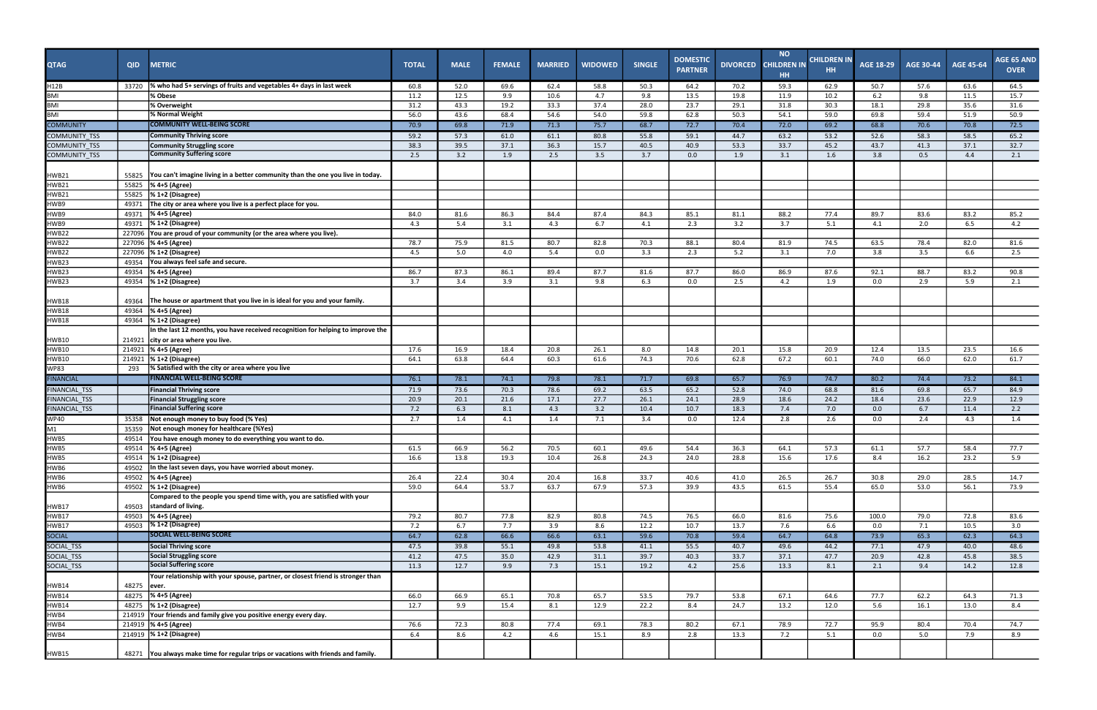| <b>QTAG</b>                           | <b>QID</b>     | <b>METRIC</b>                                                                                  | <b>TOTAL</b> | <b>MALE</b> | <b>FEMALE</b> | <b>MARRIED</b> | <b>WIDOWED</b> | <b>SINGLE</b> | <b>DOMESTIC</b><br><b>PARTNER</b> | <b>DIVORCED</b> | <b>NO</b><br><b>CHILDREN IN</b><br><b>HH</b> | CHILDREN IN<br><b>HH</b> | <b>AGE 18-29</b> | <b>AGE 30-44</b> | <b>AGE 45-64</b> | AGE 65 AND<br><b>OVER</b> |
|---------------------------------------|----------------|------------------------------------------------------------------------------------------------|--------------|-------------|---------------|----------------|----------------|---------------|-----------------------------------|-----------------|----------------------------------------------|--------------------------|------------------|------------------|------------------|---------------------------|
| H12B                                  | 33720          | % who had 5+ servings of fruits and vegetables 4+ days in last week                            | 60.8         | 52.0        | 69.6          | 62.4           | 58.8           | 50.3          | 64.2                              | 70.2            | 59.3                                         | 62.9                     | 50.7             | 57.6             | 63.6             | 64.5                      |
| <b>BMI</b>                            |                | % Obese                                                                                        | 11.2         | 12.5        | 9.9           | 10.6           | 4.7            | 9.8           | 13.5                              | 19.8            | 11.9                                         | 10.2                     | 6.2              | 9.8              | 11.5             | 15.7                      |
| <b>BMI</b>                            |                | % Overweight                                                                                   | 31.2         | 43.3        | 19.2          | 33.3           | 37.4           | 28.0          | 23.7                              | 29.1            | 31.8                                         | 30.3                     | 18.1             | 29.8             | 35.6             | 31.6                      |
| <b>BMI</b>                            |                | % Normal Weight                                                                                | 56.0         | 43.6        | 68.4          | 54.6           | 54.0           | 59.8          | 62.8                              | 50.3            | 54.1                                         | 59.0                     | 69.8             | 59.4             | 51.9             | 50.9                      |
| <b>COMMUNITY</b>                      |                | <b>COMMUNITY WELL-BEING SCORE</b>                                                              | 70.9         | 69.8        | 71.9          | 71.3           | 75.7           | 68.7          | 72.7                              | 70.4            | 72.0                                         | 69.2                     | 68.8             | 70.6             | 70.8             | 72.5                      |
| COMMUNITY_TSS                         |                | Community Thriving score                                                                       | 59.2         | 57.3        | 61.0          | 61.1           | 80.8           | 55.8          | 59.1                              | 44.7            | 63.2                                         | 53.2                     | 52.6             | 58.3             | 58.5             | 65.2                      |
| COMMUNITY_TSS                         |                | Community Struggling score                                                                     | 38.3         | 39.5        | 37.1          | 36.3           | 15.7           | 40.5          | 40.9                              | 53.3            | 33.7                                         | 45.2                     | 43.7             | 41.3             | 37.1             | 32.7                      |
| COMMUNITY_TSS                         |                | <b>Community Suffering score</b>                                                               | 2.5          | 3.2         | 1.9           | 2.5            | 3.5            | 3.7           | 0.0                               | 1.9             | 3.1                                          | 1.6                      | 3.8              | 0.5              | 4.4              | 2.1                       |
| <b>HWB21</b>                          | 55825          | You can't imagine living in a better community than the one you live in today.                 |              |             |               |                |                |               |                                   |                 |                                              |                          |                  |                  |                  |                           |
| HWB21                                 | 55825          | % 4+5 (Agree)                                                                                  |              |             |               |                |                |               |                                   |                 |                                              |                          |                  |                  |                  |                           |
| HWB21<br>HWB9                         | 55825          | % 1+2 (Disagree)<br>The city or area where you live is a perfect place for you.                |              |             |               |                |                |               |                                   |                 |                                              |                          |                  |                  |                  |                           |
| HWB9                                  | 49371<br>49371 | % 4+5 (Agree)                                                                                  | 84.0         | 81.6        | 86.3          | 84.4           | 87.4           | 84.3          | 85.1                              | 81.1            | 88.2                                         | 77.4                     | 89.7             | 83.6             | 83.2             | 85.2                      |
| HWB9                                  | 49371          | $\sqrt{\frac{1}{6}}$ 1+2 (Disagree)                                                            | 4.3          | 5.4         | 3.1           | 4.3            | 6.7            | 4.1           | 2.3                               | 3.2             | 3.7                                          | 5.1                      | 4.1              | 2.0              | 6.5              | 4.2                       |
| HWB22                                 | 227096         | You are proud of your community (or the area where you live).                                  |              |             |               |                |                |               |                                   |                 |                                              |                          |                  |                  |                  |                           |
| HWB22                                 | 227096         | % 4+5 (Agree)                                                                                  | 78.7         | 75.9        | 81.5          | 80.7           | 82.8           | 70.3          | 88.1                              | 80.4            | 81.9                                         | 74.5                     | 63.5             | 78.4             | 82.0             | 81.6                      |
| HWB22                                 |                | 227096  % 1+2 (Disagree)                                                                       | 4.5          | 5.0         | 4.0           | 5.4            | 0.0            | 3.3           | 2.3                               | 5.2             | 3.1                                          | 7.0                      | 3.8              | 3.5              | 6.6              | 2.5                       |
| HWB23                                 | 49354          | You always feel safe and secure.                                                               |              |             |               |                |                |               |                                   |                 |                                              |                          |                  |                  |                  |                           |
| HWB23                                 | 49354          | % 4+5 (Agree)                                                                                  | 86.7         | 87.3        | 86.1          | 89.4           | 87.7           | 81.6          | 87.7                              | 86.0            | 86.9                                         | 87.6                     | 92.1             | 88.7             | 83.2             | 90.8                      |
| HWB23                                 | 49354          | $\frac{1}{6}$ 1+2 (Disagree)                                                                   | 3.7          | 3.4         | 3.9           | 3.1            | 9.8            | 6.3           | 0.0                               | 2.5             | 4.2                                          | 1.9                      | 0.0              | 2.9              | 5.9              | 2.1                       |
| <b>HWB18</b>                          | 49364          | The house or apartment that you live in is ideal for you and your family.                      |              |             |               |                |                |               |                                   |                 |                                              |                          |                  |                  |                  |                           |
| <b>HWB18</b>                          | 49364          | % 4+5 (Agree)                                                                                  |              |             |               |                |                |               |                                   |                 |                                              |                          |                  |                  |                  |                           |
| HWB18                                 | 49364          | % 1+2 (Disagree)                                                                               |              |             |               |                |                |               |                                   |                 |                                              |                          |                  |                  |                  |                           |
|                                       |                | In the last 12 months, you have received recognition for helping to improve the                |              |             |               |                |                |               |                                   |                 |                                              |                          |                  |                  |                  |                           |
| HWB10                                 | 214921         | city or area where you live.                                                                   |              |             |               |                |                |               |                                   |                 |                                              |                          |                  |                  |                  |                           |
| <b>HWB10</b>                          |                | 214921  % 4+5 (Agree)                                                                          | 17.6         | 16.9        | 18.4          | 20.8           | 26.1           | 8.0           | 14.8                              | 20.1            | 15.8                                         | 20.9                     | 12.4             | 13.5             | 23.5             | 16.6                      |
| <b>HWB10</b>                          | 214921         | % 1+2 (Disagree)                                                                               | 64.1         | 63.8        | 64.4          | 60.3           | 61.6           | 74.3          | 70.6                              | 62.8            | 67.2                                         | 60.1                     | 74.0             | 66.0             | 62.0             | 61.7                      |
| <b>WP83</b>                           | 293            | % Satisfied with the city or area where you live                                               |              |             |               |                |                |               |                                   |                 |                                              |                          |                  |                  |                  |                           |
| <b>FINANCIAL</b>                      |                | <b>FINANCIAL WELL-BEING SCORE</b>                                                              | 76.1         | 78.1        | 74.1          | 79.8           | 78.1           | 71.7          | 69.8                              | 65.7            | 76.9                                         | 74.7                     | 80.2             | 74.4             | 73.2             | 84.1                      |
| <b>FINANCIAL_TSS</b>                  |                | <b>Financial Thriving score</b>                                                                | 71.9         | 73.6        | 70.3          | 78.6           | 69.2           | 63.5          | 65.2                              | 52.8            | 74.0                                         | 68.8                     | 81.6             | 69.8             | 65.7             | 84.9                      |
| FINANCIAL_TSS<br><b>FINANCIAL_TSS</b> |                | <b>Financial Struggling score</b><br><b>Financial Suffering score</b>                          | 20.9         | 20.1        | 21.6          | 17.1           | 27.7<br>3.2    | 26.1          | 24.1<br>10.7                      | 28.9            | 18.6                                         | 24.2                     | 18.4             | 23.6             | 22.9             | 12.9                      |
|                                       |                | Not enough money to buy food (% Yes)                                                           | 7.2          | 6.3         | 8.1           | 4.3            |                | 10.4          |                                   | 18.3            | 7.4                                          | 7.0                      | 0.0              | 6.7              | 11.4             | 2.2                       |
| <b>WP40</b><br>$\overline{M1}$        | 35358<br>35359 | Not enough money for healthcare (%Yes)                                                         | 2.7          | 1.4         | 4.1           | 1.4            | 7.1            | 3.4           | 0.0                               | 12.4            | 2.8                                          | 2.6                      | 0.0              | 2.4              | 4.3              | 1.4                       |
| HWB5                                  | 49514          | You have enough money to do everything you want to do.                                         |              |             |               |                |                |               |                                   |                 |                                              |                          |                  |                  |                  |                           |
|                                       |                | 49514 % 4+5 (Agree)                                                                            | 61.5         | 66.9        | 56.2          | 70.5           | 60.1           | 49.6          | 54.4                              | 36.3            | 64.1                                         | 57.3                     | 61.1             | 57.7             | 58.4             | 77.7                      |
| HWB5<br>HWB5                          | 49514          | $\frac{1}{6}$ 1+2 (Disagree)                                                                   | 16.6         | 13.8        | 19.3          | 10.4           | 26.8           | 24.3          | 24.0                              | 28.8            | 15.6                                         | 17.6                     | 8.4              | 16.2             | 23.2             | 5.9                       |
| HWB6                                  | 49502          | In the last seven days, you have worried about money.                                          |              |             |               |                |                |               |                                   |                 |                                              |                          |                  |                  |                  |                           |
| HWB6                                  | 49502          | % 4+5 (Agree)                                                                                  | 26.4         | 22.4        | 30.4          | 20.4           | 16.8           | 33.7          | 40.6                              | 41.0            | 26.5                                         | 26.7                     | 30.8             | 29.0             | 28.5             | 14.7                      |
| HWB6                                  | 49502          | % 1+2 (Disagree)                                                                               | 59.0         | 64.4        | 53.7          | 63.7           | 67.9           | 57.3          | 39.9                              | 43.5            | 61.5                                         | 55.4                     | 65.0             | 53.0             | 56.1             | 73.9                      |
| HWB17                                 | 49503          | Compared to the people you spend time with, you are satisfied with your<br>standard of living. |              |             |               |                |                |               |                                   |                 |                                              |                          |                  |                  |                  |                           |
| HWB17                                 | 49503          | % 4+5 (Agree)                                                                                  | 79.2         | 80.7        | 77.8          | 82.9           | 80.8           | 74.5          | 76.5                              | 66.0            | 81.6                                         | 75.6                     | 100.0            | 79.0             | 72.8             | 83.6                      |
| HWB17                                 |                | 49503 % 1+2 (Disagree)                                                                         | 7.2          | 6.7         | 7.7           | 3.9            | 8.6            | 12.2          | 10.7                              | 13.7            | 7.6                                          | 6.6                      | 0.0              | 7.1              | 10.5             | 3.0                       |
| SOCIAL<br>SOCIAL_TSS                  |                | <b>SOCIAL WELL-BEING SCORE</b>                                                                 | 64.7         | 62.8        | 66.6          | 66.6           | 63.1           | 59.6          | 70.8                              | 59.4            | 64.7                                         | 64.8                     | 73.9             | 65.3             | 62.3             | 64.3                      |
|                                       |                | Social Thriving score                                                                          | 47.5         | 39.8        | 55.1          | 49.8           | 53.8           | 41.1          | 55.5                              | 40.7            | 49.6                                         | 44.2                     | 77.1             | 47.9             | 40.0             | 48.6                      |
| SOCIAL_TSS                            |                | Social Struggling score                                                                        | 41.2         | 47.5        | 35.0          | 42.9           | 31.1           | 39.7          | 40.3                              | 33.7            | 37.1                                         | 47.7                     | 20.9             | 42.8             | 45.8             | 38.5                      |
| SOCIAL_TSS                            |                | <b>Social Suffering score</b>                                                                  | 11.3         | 12.7        | 9.9           | 7.3            | 15.1           | 19.2          | 4.2                               | 25.6            | 13.3                                         | 8.1                      | 2.1              | 9.4              | 14.2             | 12.8                      |
| HWB14                                 | 48275          | Your relationship with your spouse, partner, or closest friend is stronger than<br>ever.       |              |             |               |                |                |               |                                   |                 |                                              |                          |                  |                  |                  |                           |
| HWB14                                 |                | 48275 % 4+5 (Agree)                                                                            | 66.0         | 66.9        | 65.1          | 70.8           | 65.7           | 53.5          | 79.7                              | 53.8            | 67.1                                         | 64.6                     | 77.7             | 62.2             | 64.3             | 71.3                      |
| HWB14                                 |                | 48275   % 1+2 (Disagree)                                                                       | 12.7         | 9.9         | 15.4          | 8.1            | 12.9           | 22.2          | 8.4                               | 24.7            | 13.2                                         | 12.0                     | 5.6              | 16.1             | 13.0             | 8.4                       |
| HWB4                                  |                | 214919 Your friends and family give you positive energy every day.                             |              |             |               |                |                |               |                                   |                 |                                              |                          |                  |                  |                  |                           |
| HWB4                                  |                | 214919  % 4+5 (Agree)                                                                          | 76.6         | 72.3        | 80.8          | 77.4           | 69.1           | 78.3          | 80.2                              | 67.1            | 78.9                                         | 72.7                     | 95.9             | 80.4             | 70.4             | 74.7                      |
| HWB4                                  |                | 214919   % 1+2 (Disagree)                                                                      | 6.4          | 8.6         | 4.2           | 4.6            | 15.1           | 8.9           | 2.8                               | 13.3            | 7.2                                          | 5.1                      | 0.0              | 5.0              | 7.9              | 8.9                       |
| <b>HWB15</b>                          |                | 48271 You always make time for regular trips or vacations with friends and family.             |              |             |               |                |                |               |                                   |                 |                                              |                          |                  |                  |                  |                           |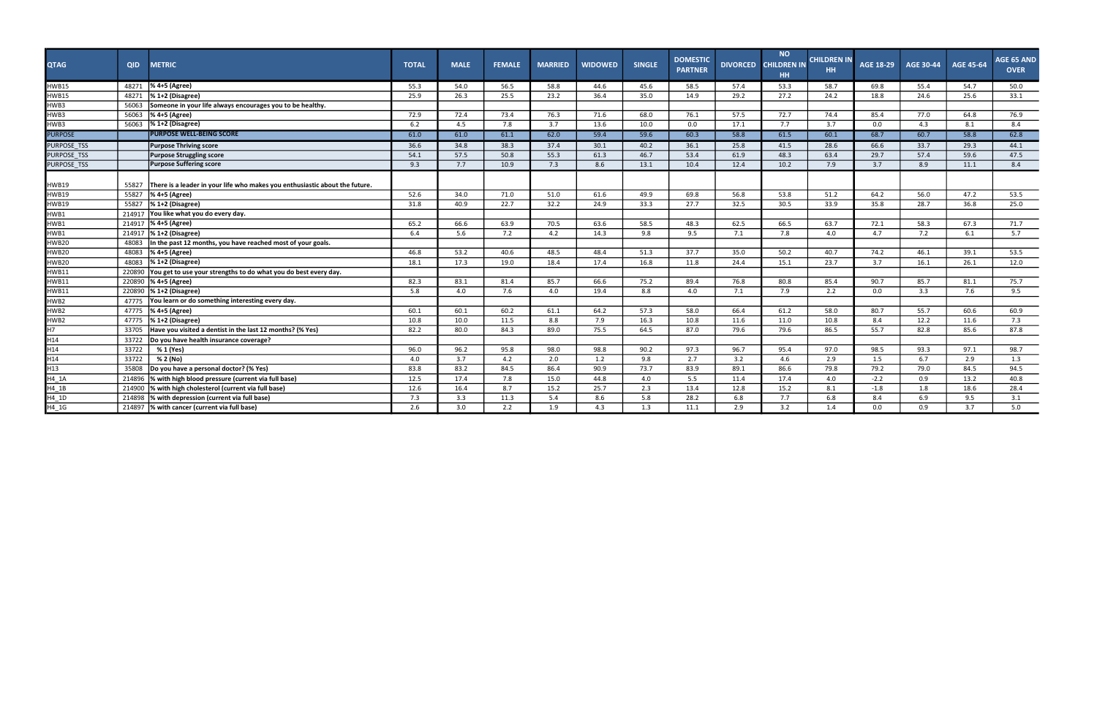| <b>QTAG</b>                            | <b>QID</b> | <b>METRIC</b>                                                               | <b>TOTAL</b> | <b>MALE</b> | <b>FEMALE</b> | <b>MARRIED</b> | <b>WIDOWED</b> | <b>SINGLE</b> | <b>DOMESTIC</b><br><b>PARTNER</b> | <b>DIVORCED</b> | <b>NO</b><br><b>CHILDREN IN</b><br>HH. | <b>CHILDREN IN</b><br>HH. | AGE 18-29 | <b>AGE 30-44</b> | <b>AGE 45-64</b> | <b>AGE 65 AND</b><br><b>OVER</b> |
|----------------------------------------|------------|-----------------------------------------------------------------------------|--------------|-------------|---------------|----------------|----------------|---------------|-----------------------------------|-----------------|----------------------------------------|---------------------------|-----------|------------------|------------------|----------------------------------|
| <b>HWB15</b>                           | 48271      | % 4+5 (Agree)                                                               | 55.3         | 54.0        | 56.5          | 58.8           | 44.6           | 45.6          | 58.5                              | 57.4            | 53.3                                   | 58.7                      | 69.8      | 55.4             | 54.7             | 50.0                             |
| <b>HWB15</b>                           | 48271      | $\frac{1}{6}$ 1+2 (Disagree)                                                | 25.9         | 26.3        | 25.5          | 23.2           | 36.4           | 35.0          | 14.9                              | 29.2            | 27.2                                   | 24.2                      | 18.8      | 24.6             | 25.6             | 33.1                             |
| HWB3                                   | 56063      | Someone in your life always encourages you to be healthy.                   |              |             |               |                |                |               |                                   |                 |                                        |                           |           |                  |                  |                                  |
| HWB3                                   | 56063      | % 4+5 (Agree)                                                               | 72.9         | 72.4        | 73.4          | 76.3           | 71.6           | 68.0          | 76.1                              | 57.5            | 72.7                                   | 74.4                      | 85.4      | 77.0             | 64.8             | 76.9                             |
| HWB3                                   | 56063      | $\sqrt{81+2}$ (Disagree)                                                    | 6.2          | 4.5         | 7.8           | 3.7            | 13.6           | 10.0          | 0.0                               | 17.1            | 7.7                                    | 3.7                       | 0.0       | 4.3              | 8.1              | 8.4                              |
| <b>PURPOSE</b>                         |            | <b>PURPOSE WELL-BEING SCORE</b>                                             | 61.0         | 61.0        | 61.1          | 62.0           | 59.4           | 59.6          | 60.3                              | 58.8            | 61.5                                   | 60.1                      | 68.7      | 60.7             | 58.8             | 62.8                             |
| PURPOSE_TSS                            |            | <b>Purpose Thriving score</b>                                               | 36.6         | 34.8        | 38.3          | 37.4           | 30.1           | 40.2          | 36.1                              | 25.8            | 41.5                                   | 28.6                      | 66.6      | 33.7             | 29.3             | 44.1                             |
| PURPOSE_TSS                            |            | <b>Purpose Struggling score</b>                                             | 54.1         | 57.5        | 50.8          | 55.3           | 61.3           | 46.7          | 53.4                              | 61.9            | 48.3                                   | 63.4                      | 29.7      | 57.4             | 59.6             | 47.5                             |
| PURPOSE_TSS                            |            | <b>Purpose Suffering score</b>                                              | 9.3          | 7.7         | 10.9          | 7.3            | 8.6            | 13.1          | 10.4                              | 12.4            | 10.2                                   | 7.9                       | 3.7       | 8.9              | 11.1             | 8.4                              |
| <b>HWB19</b>                           | 55827      | There is a leader in your life who makes you enthusiastic about the future. |              |             |               |                |                |               |                                   |                 |                                        |                           |           |                  |                  |                                  |
| HWB19                                  | 55827      | % 4+5 (Agree)                                                               | 52.6         | 34.0        | 71.0          | 51.0           | 61.6           | 49.9          | 69.8                              | 56.8            | 53.8                                   | 51.2                      | 64.2      | 56.0             | 47.2             | 53.5                             |
| HWB19                                  | 55827      | $\frac{1}{6}$ 1+2 (Disagree)                                                | 31.8         | 40.9        | 22.7          | 32.2           | 24.9           | 33.3          | 27.7                              | 32.5            | 30.5                                   | 33.9                      | 35.8      | 28.7             | 36.8             | 25.0                             |
| HWB1                                   | 214917     | You like what you do every day.                                             |              |             |               |                |                |               |                                   |                 |                                        |                           |           |                  |                  |                                  |
| HWB1                                   |            | 214917  % 4+5 (Agree)                                                       | 65.2         | 66.6        | 63.9          | 70.5           | 63.6           | 58.5          | 48.3                              | 62.5            | 66.5                                   | 63.7                      | 72.1      | 58.3             | 67.3             | 71.7                             |
| HWB1                                   |            | 214917  % 1+2 (Disagree)                                                    | 6.4          | 5.6         | 7.2           | 4.2            | 14.3           | 9.8           | 9.5                               | 7.1             | 7.8                                    | 4.0                       | 4.7       | 7.2              | 6.1              | 5.7                              |
| HWB20                                  | 48083      | In the past 12 months, you have reached most of your goals.                 |              |             |               |                |                |               |                                   |                 |                                        |                           |           |                  |                  |                                  |
| HWB20                                  | 48083      | % 4+5 (Agree)                                                               | 46.8         | 53.2        | 40.6          | 48.5           | 48.4           | 51.3          | 37.7                              | 35.0            | 50.2                                   | 40.7                      | 74.2      | 46.1             | 39.1             | 53.5                             |
| HWB20                                  | 48083      | $\frac{1}{6}$ 1+2 (Disagree)                                                | 18.1         | 17.3        | 19.0          | 18.4           | 17.4           | 16.8          | 11.8                              | 24.4            | 15.1                                   | 23.7                      | 3.7       | 16.1             | 26.1             | 12.0                             |
| <b>HWB11</b>                           |            | 220890 You get to use your strengths to do what you do best every day.      |              |             |               |                |                |               |                                   |                 |                                        |                           |           |                  |                  |                                  |
| <b>HWB11</b>                           |            | 220890  % 4+5 (Agree)                                                       | 82.3         | 83.1        | 81.4          | 85.7           | 66.6           | 75.2          | 89.4                              | 76.8            | 80.8                                   | 85.4                      | 90.7      | 85.7             | 81.1             | 75.7                             |
| <b>HWB11</b>                           |            | 220890  % 1+2 (Disagree)                                                    | 5.8          | 4.0         | 7.6           | 4.0            | 19.4           | 8.8           | 4.0                               | 7.1             | 7.9                                    | 2.2                       | 0.0       | 3.3              | 7.6              | 9.5                              |
| HWB2                                   | 47775      | You learn or do something interesting every day.                            |              |             |               |                |                |               |                                   |                 |                                        |                           |           |                  |                  |                                  |
| HWB2                                   | 47775      | % 4+5 (Agree)                                                               | 60.1         | 60.1        | 60.2          | 61.1           | 64.2           | 57.3          | 58.0                              | 66.4            | 61.2                                   | 58.0                      | 80.7      | 55.7             | 60.6             | 60.9                             |
| HWB2                                   | 47775      | $\frac{1}{6}$ 1+2 (Disagree)                                                | 10.8         | 10.0        | 11.5          | 8.8            | 7.9            | 16.3          | 10.8                              | 11.6            | 11.0                                   | 10.8                      | 8.4       | 12.2             | 11.6             | 7.3                              |
| $\overline{H7}$                        | 33705      | Have you visited a dentist in the last 12 months? (% Yes)                   | 82.2         | 80.0        | 84.3          | 89.0           | 75.5           | 64.5          | 87.0                              | 79.6            | 79.6                                   | 86.5                      | 55.7      | 82.8             | 85.6             | 87.8                             |
| H <sub>14</sub>                        | 33722      | Do you have health insurance coverage?                                      |              |             |               |                |                |               |                                   |                 |                                        |                           |           |                  |                  |                                  |
| H14                                    | 33722      | % 1 (Yes)                                                                   | 96.0         | 96.2        | 95.8          | 98.0           | 98.8           | 90.2          | 97.3                              | 96.7            | 95.4                                   | 97.0                      | 98.5      | 93.3             | 97.1             | 98.7                             |
| H14                                    | 33722      | % 2 (No)                                                                    | 4.0          | 3.7         | 4.2           | 2.0            | 1.2            | 9.8           | 2.7                               | 3.2             | 4.6                                    | 2.9                       | 1.5       | 6.7              | 2.9              | 1.3                              |
| $H13$<br>$H4_1A$<br>$H4_1B$<br>$H4_1D$ | 35808      | Do you have a personal doctor? (% Yes)                                      | 83.8         | 83.2        | 84.5          | 86.4           | 90.9           | 73.7          | 83.9                              | 89.1            | 86.6                                   | 79.8                      | 79.2      | 79.0             | 84.5             | 94.5                             |
|                                        | 214896     | % with high blood pressure (current via full base)                          | 12.5         | 17.4        | 7.8           | 15.0           | 44.8           | 4.0           | 5.5                               | 11.4            | 17.4                                   | 4.0                       | $-2.2$    | 0.9              | 13.2             | 40.8                             |
|                                        | 214900     | % with high cholesterol (current via full base)                             | 12.6         | 16.4        | 8.7           | 15.2           | 25.7           | 2.3           | 13.4                              | 12.8            | 15.2                                   | 8.1                       | $-1.8$    | 1.8              | 18.6             | 28.4                             |
|                                        | 214898     | % with depression (current via full base)                                   | 7.3          | 3.3         | 11.3          | 5.4            | 8.6            | 5.8           | 28.2                              | 6.8             | 7.7                                    | 6.8                       | 8.4       | 6.9              | 9.5              | 3.1                              |
| $H4$ <sub>_1G</sub>                    |            | 214897  % with cancer (current via full base)                               | 2.6          | 3.0         | 2.2           | 1.9            | 4.3            | 1.3           | 11.1                              | 2.9             | 3.2                                    | 1.4                       | 0.0       | 0.9              | 3.7              | 5.0                              |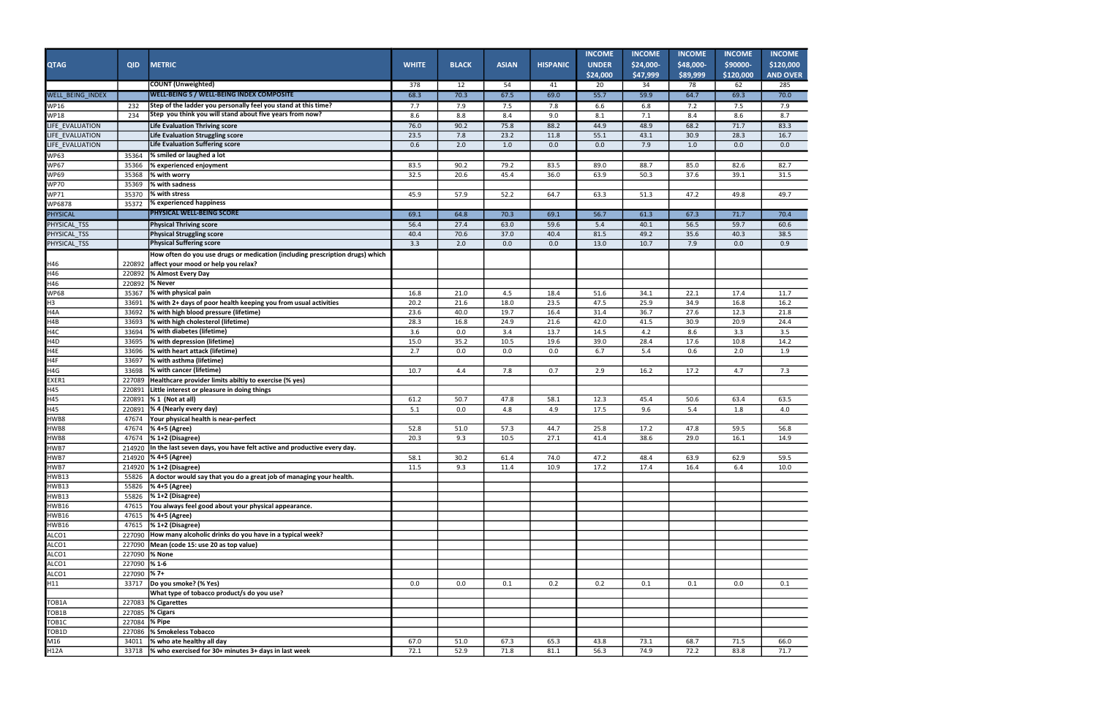AND OVER I  $\overline{\phantom{0}}$  $\overline{1}$  $\overline{\phantom{0}}$  $\overline{\phantom{0}}$  $\equiv$  $\overline{\phantom{0}}$  $\frac{1}{1}$  $\overline{\phantom{0}}$  $\overline{\phantom{0}}$  $\overline{\phantom{0}}$  $\overline{\phantom{0}}$  $\overline{\phantom{0}}$  $\overline{\phantom{0}}$  $\overline{\phantom{0}}$ —  $\overline{\phantom{0}}$  $\overline{\phantom{0}}$ - $\overline{\phantom{0}}$  $\overline{\phantom{0}}$  $\overline{\phantom{0}}$  $\overline{\phantom{0}}$  $\overline{\phantom{0}}$  $\overline{\phantom{0}}$  $\overline{\phantom{0}}$  $\overline{\phantom{0}}$  $\equiv$  $\overline{\phantom{0}}$  $\equiv$  $\overline{\phantom{0}}$  $\overline{\phantom{0}}$  $\overline{\phantom{0}}$  $\overline{\phantom{0}}$  $\overline{\phantom{0}}$  $\equiv$  $\frac{1}{1}$ 

|                    |               |                                                                                                        |              |              |              |                 | <b>INCOME</b>            | <b>INCOME</b>         | <b>INCOME</b>         | <b>INCOME</b>         | <b>INCOME</b>                |
|--------------------|---------------|--------------------------------------------------------------------------------------------------------|--------------|--------------|--------------|-----------------|--------------------------|-----------------------|-----------------------|-----------------------|------------------------------|
| <b>QTAG</b>        | <b>QID</b>    | <b>METRIC</b>                                                                                          | <b>WHITE</b> | <b>BLACK</b> | <b>ASIAN</b> | <b>HISPANIC</b> | <b>UNDER</b><br>\$24,000 | \$24,000-<br>\$47,999 | \$48,000-<br>\$89,999 | \$90000-<br>\$120,000 | \$120,000<br><b>AND OVER</b> |
|                    |               | <b>[COUNT (Unweighted)</b>                                                                             | 378          | 12           | 54           | 41              | 20                       | 34                    | 78                    | 62                    | 285                          |
| WELL BEING INDEX   |               | <b>IWELL-BEING 5 / WELL-BEING INDEX COMPOSITE</b>                                                      | 68.3         | 70.3         | 67.5         | 69.0            | 55.7                     | 59.9                  | 64.7                  | 69.3                  | 70.0                         |
| <b>WP16</b>        | 232           | Step of the ladder you personally feel you stand at this time?                                         | 7.7          | 7.9          | 7.5          | 7.8             | 6.6                      | 6.8                   | 7.2                   | 7.5                   | 7.9                          |
| <b>WP18</b>        | 234           | Step you think you will stand about five years from now?                                               | 8.6          | 8.8          | 8.4          | 9.0             | 8.1                      | 7.1                   | 8.4                   | 8.6                   | 8.7                          |
| LIFE_EVALUATION    |               | Life Evaluation Thriving score                                                                         | 76.0         | 90.2         | 75.8         | 88.2            | 44.9                     | 48.9                  | 68.2                  | 71.7                  | 83.3                         |
| LIFE_EVALUATION    |               | Life Evaluation Struggling score                                                                       | 23.5         | 7.8          | 23.2         | 11.8            | 55.1                     | 43.1                  | 30.9                  | 28.3                  | 16.7                         |
| LIFE_EVALUATION    |               | Life Evaluation Suffering score                                                                        | 0.6          | 2.0          | 1.0          | 0.0             | 0.0                      | 7.9                   | 1.0                   | 0.0                   | 0.0                          |
| <b>WP63</b>        | 35364         | % smiled or laughed a lot                                                                              |              |              |              |                 |                          |                       |                       |                       |                              |
| <b>WP67</b>        | 35366         | % experienced enjoyment                                                                                | 83.5         | 90.2         | 79.2         | 83.5            | 89.0                     | 88.7                  | 85.0                  | 82.6                  | 82.7                         |
| <b>WP69</b>        | 35368         | % with worry                                                                                           | 32.5         | 20.6         | 45.4         | 36.0            | 63.9                     | 50.3                  | 37.6                  | 39.1                  | 31.5                         |
| <b>WP70</b>        | 35369         | % with sadness                                                                                         |              |              |              |                 |                          |                       |                       |                       |                              |
| WP71               | 35370         | % with stress                                                                                          | 45.9         | 57.9         | 52.2         | 64.7            | 63.3                     | 51.3                  | 47.2                  | 49.8                  | 49.7                         |
| WP6878             | 35372         | % experienced happiness                                                                                |              |              |              |                 |                          |                       |                       |                       |                              |
| <b>PHYSICAL</b>    |               | PHYSICAL WELL-BEING SCORE                                                                              | 69.1         | 64.8         | 70.3         | 69.1            | 56.7                     | 61.3                  | 67.3                  | 71.7                  | 70.4                         |
| PHYSICAL_TSS       |               | <b>Physical Thriving score</b>                                                                         | 56.4         | 27.4         | 63.0         | 59.6            | 5.4                      | 40.1                  | 56.5                  | 59.7                  | 60.6                         |
| PHYSICAL_TSS       |               | Physical Struggling score                                                                              | 40.4         | 70.6         | 37.0         | 40.4            | 81.5                     | 49.2                  | 35.6                  | 40.3                  | 38.5                         |
| PHYSICAL_TSS       |               | <b>Physical Suffering score</b>                                                                        | 3.3          | 2.0          | 0.0          | 0.0             | 13.0                     | 10.7                  | 7.9                   | 0.0                   | 0.9                          |
|                    |               | How often do you use drugs or medication (including prescription drugs) which                          |              |              |              |                 |                          |                       |                       |                       |                              |
| H46                | 220892        | affect your mood or help you relax?                                                                    |              |              |              |                 |                          |                       |                       |                       |                              |
| H46                | 220892        | % Almost Every Day                                                                                     |              |              |              |                 |                          |                       |                       |                       |                              |
| H46                | 220892        | % Never                                                                                                |              |              |              |                 |                          |                       |                       |                       |                              |
| <b>WP68</b>        | 35367         | % with physical pain                                                                                   | 16.8         | 21.0         | 4.5          | 18.4            | 51.6                     | 34.1                  | 22.1                  | 17.4                  | 11.7                         |
| $\overline{H}$     | 33691         | % with 2+ days of poor health keeping you from usual activities                                        | 20.2         | 21.6         | 18.0         | 23.5            | 47.5                     | 25.9                  | 34.9                  | 16.8                  | 16.2                         |
| H <sub>4</sub> A   | 33692         | % with high blood pressure (lifetime)                                                                  | 23.6         | 40.0         | 19.7         | 16.4            | 31.4                     | 36.7                  | 27.6                  | 12.3                  | 21.8                         |
| H4B                | 33693         | % with high cholesterol (lifetime)                                                                     | 28.3         | 16.8         | 24.9         | 21.6            | 42.0                     | 41.5                  | 30.9                  | 20.9                  | 24.4                         |
| H4C                | 33694         | % with diabetes (lifetime)                                                                             | 3.6          | 0.0          | 3.4          | 13.7            | 14.5                     | 4.2                   | 8.6                   | 3.3                   | 3.5                          |
| H <sub>4D</sub>    | 33695         | % with depression (lifetime)                                                                           | 15.0         | 35.2         | 10.5         | 19.6            | 39.0                     | 28.4                  | 17.6                  | 10.8                  | 14.2                         |
| H4E                | 33696         | % with heart attack (lifetime)                                                                         | 2.7          | 0.0          | 0.0          | 0.0             | 6.7                      | 5.4                   | 0.6                   | 2.0                   | 1.9                          |
| H4F                | 33697         | % with asthma (lifetime)                                                                               |              |              |              |                 |                          |                       |                       |                       |                              |
| H4G                | 33698         | % with cancer (lifetime)                                                                               | 10.7         | 4.4          | 7.8          | 0.7             | 2.9                      | 16.2                  | 17.2                  | 4.7                   | 7.3                          |
| EXER1              | 227089        | Healthcare provider limits abiltiy to exercise (% yes)                                                 |              |              |              |                 |                          |                       |                       |                       |                              |
| H45                | 220891        | Little interest or pleasure in doing things                                                            |              |              |              |                 |                          |                       |                       |                       |                              |
| $\overline{H45}$   | 220891        | % 1 (Not at all)                                                                                       | 61.2         | 50.7         | 47.8         | 58.1            | 12.3                     | 45.4                  | 50.6                  | 63.4                  | 63.5                         |
| H45                | 220891        | % 4 (Nearly every day)                                                                                 | 5.1          | 0.0          | 4.8          | 4.9             | 17.5                     | 9.6                   | 5.4                   | 1.8                   | 4.0                          |
| HWB8               | 47674         | Your physical health is near-perfect                                                                   |              |              |              |                 |                          |                       |                       |                       |                              |
| HWB8               | 47674         | % 4+5 (Agree)                                                                                          | 52.8         | 51.0         | 57.3         | 44.7            | 25.8                     | 17.2                  | 47.8                  | 59.5                  | 56.8                         |
| HWB8<br>HWB7       | 47674         | $\frac{1}{2}$ (Disagree)                                                                               | 20.3         | 9.3          | 10.5         | 27.1            | 41.4                     | 38.6                  | 29.0                  | 16.1                  | 14.9                         |
| HWB7               |               | 214920 In the last seven days, you have felt active and productive every day.<br>214920  % 4+5 (Agree) | 58.1         | 30.2         | 61.4         | 74.0            | 47.2                     | 48.4                  | 63.9                  | 62.9                  | 59.5                         |
| HWB7               |               | 214920 % 1+2 (Disagree)                                                                                | 11.5         | 9.3          | 11.4         | 10.9            | 17.2                     | 17.4                  | 16.4                  | 6.4                   | 10.0                         |
| <b>HWB13</b>       | 55826         | A doctor would say that you do a great job of managing your health.                                    |              |              |              |                 |                          |                       |                       |                       |                              |
| <b>HWB13</b>       |               | 55826  % 4+5 (Agree)                                                                                   |              |              |              |                 |                          |                       |                       |                       |                              |
| HWB13              |               | 55826   % 1+2 (Disagree)                                                                               |              |              |              |                 |                          |                       |                       |                       |                              |
| <b>HWB16</b>       | 47615         | You always feel good about your physical appearance.                                                   |              |              |              |                 |                          |                       |                       |                       |                              |
| <b>HWB16</b>       |               | 47615  % 4+5 (Agree)                                                                                   |              |              |              |                 |                          |                       |                       |                       |                              |
| <b>HWB16</b>       |               | 47615 % 1+2 (Disagree)                                                                                 |              |              |              |                 |                          |                       |                       |                       |                              |
| ALCO1              |               | 227090 How many alcoholic drinks do you have in a typical week?                                        |              |              |              |                 |                          |                       |                       |                       |                              |
| ALCO1              |               | 227090 Mean (code 15: use 20 as top value)                                                             |              |              |              |                 |                          |                       |                       |                       |                              |
| ALCO1              |               | 227090  % None                                                                                         |              |              |              |                 |                          |                       |                       |                       |                              |
| ALCO1              | 227090 %1-6   |                                                                                                        |              |              |              |                 |                          |                       |                       |                       |                              |
| ALCO1              | 227090 %7+    |                                                                                                        |              |              |              |                 |                          |                       |                       |                       |                              |
| $\overline{H11}$   | 33717         | Do you smoke? (% Yes)                                                                                  | 0.0          | 0.0          | 0.1          | 0.2             | 0.2                      | 0.1                   | 0.1                   | 0.0                   | 0.1                          |
|                    |               | What type of tobacco product/s do you use?                                                             |              |              |              |                 |                          |                       |                       |                       |                              |
| TOB <sub>1</sub> A |               | 227083 $\%$ Cigarettes                                                                                 |              |              |              |                 |                          |                       |                       |                       |                              |
| TOB <sub>1</sub> B |               | 227085  % Cigars                                                                                       |              |              |              |                 |                          |                       |                       |                       |                              |
| TOB <sub>1C</sub>  | 227084 % Pipe |                                                                                                        |              |              |              |                 |                          |                       |                       |                       |                              |
| TOB <sub>1D</sub>  |               | 227086  % Smokeless Tobacco                                                                            |              |              |              |                 |                          |                       |                       |                       |                              |
| M16                | 34011         | % who ate healthy all day                                                                              | 67.0         | 51.0         | 67.3         | 65.3            | 43.8                     | 73.1                  | 68.7                  | 71.5                  | 66.0                         |
| H12A               |               | 33718  % who exercised for 30+ minutes 3+ days in last week                                            | 72.1         | 52.9         | 71.8         | 81.1            | 56.3                     | 74.9                  | 72.2                  | 83.8                  | 71.7                         |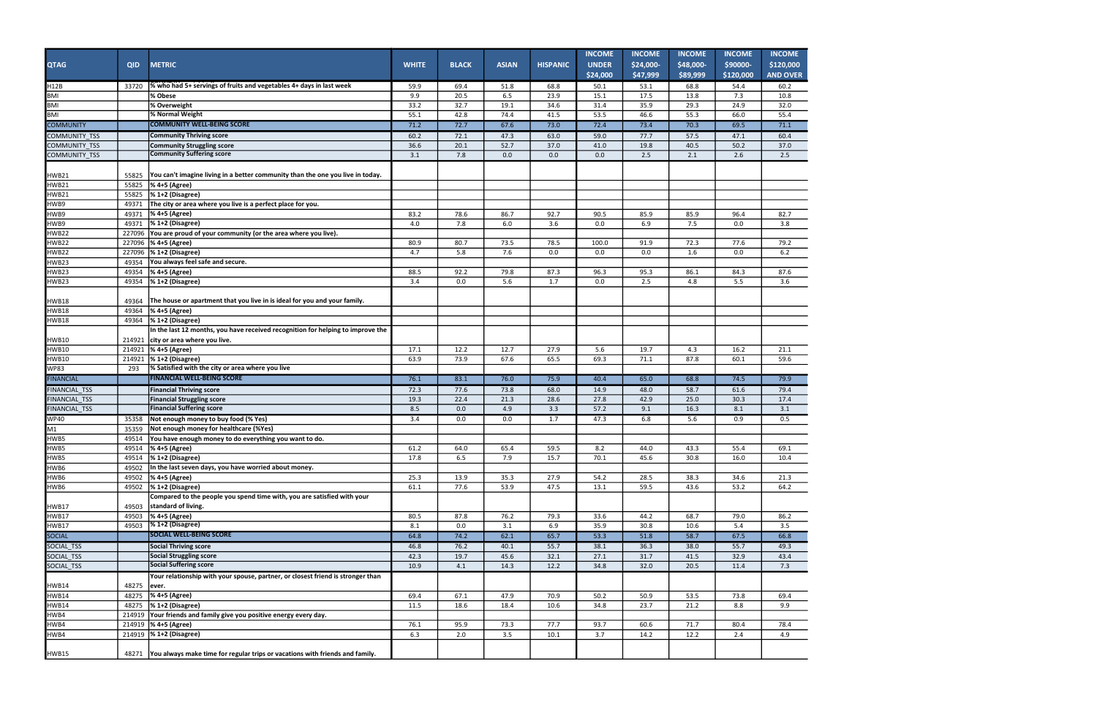AND OVER  $\equiv$  $\overline{\phantom{0}}$  $\frac{1}{1}$  $\frac{1}{1}$  $\equiv$  $\frac{1}{1}$  $\overline{\phantom{0}}$  $\equiv$  $\equiv$  $\overline{\phantom{0}}$  $\equiv$  $\equiv$  $\frac{1}{1}$  $\frac{1}{1}$  $\overline{\phantom{0}}$ 

| <b>QTAG</b>          | <b>QID</b>      | <b>METRIC</b>                                                                                  | <b>WHITE</b> | <b>BLACK</b> | <b>ASIAN</b> | <b>HISPANIC</b> | <b>INCOME</b><br><b>UNDER</b><br>\$24,000 | <b>INCOME</b><br>\$24,000-<br>\$47,999 | <b>INCOME</b><br>\$48,000-<br>\$89,999 | <b>INCOME</b><br>\$90000-<br>\$120,000 | <b>INCOME</b><br>\$120,000<br><b>AND OVER</b> |
|----------------------|-----------------|------------------------------------------------------------------------------------------------|--------------|--------------|--------------|-----------------|-------------------------------------------|----------------------------------------|----------------------------------------|----------------------------------------|-----------------------------------------------|
| H12B                 | 33720           | % who had 5+ servings of fruits and vegetables 4+ days in last week                            | 59.9         | 69.4         | 51.8         | 68.8            | 50.1                                      | 53.1                                   | 68.8                                   | 54.4                                   | 60.2                                          |
| <b>BMI</b>           |                 | % Obese                                                                                        | 9.9          | 20.5         | 6.5          | 23.9            | 15.1                                      | 17.5                                   | 13.8                                   | 7.3                                    | 10.8                                          |
| <b>BMI</b>           |                 | % Overweight                                                                                   | 33.2         | 32.7         | 19.1         | 34.6            | 31.4                                      | 35.9                                   | 29.3                                   | 24.9                                   | 32.0                                          |
| <b>BMI</b>           |                 | % Normal Weight                                                                                | 55.1         | 42.8         | 74.4         | 41.5            | 53.5                                      | 46.6                                   | 55.3                                   | 66.0                                   | 55.4                                          |
| <b>COMMUNITY</b>     |                 | <b>COMMUNITY WELL-BEING SCORE</b>                                                              | 71.2         | 72.7         | 67.6         | 73.0            | 72.4                                      | 73.4                                   | 70.3                                   | 69.5                                   | 71.1                                          |
| COMMUNITY_TSS        |                 | <b>Community Thriving score</b>                                                                | 60.2         | 72.1         | 47.3         | 63.0            | 59.0                                      | 77.7                                   | 57.5                                   | 47.1                                   | 60.4                                          |
| COMMUNITY_TSS        |                 | <b>Community Struggling score</b>                                                              | 36.6         | 20.1         | 52.7         | 37.0            | 41.0                                      | 19.8                                   | 40.5                                   | 50.2                                   | 37.0                                          |
| COMMUNITY_TSS        |                 | <b>Community Suffering score</b>                                                               | 3.1          | 7.8          | 0.0          | 0.0             | 0.0                                       | 2.5                                    | 2.1                                    | 2.6                                    | 2.5                                           |
| HWB21                | 55825           | You can't imagine living in a better community than the one you live in today.                 |              |              |              |                 |                                           |                                        |                                        |                                        |                                               |
| HWB21                | 55825           | % 4+5 (Agree)                                                                                  |              |              |              |                 |                                           |                                        |                                        |                                        |                                               |
| <b>HWB21</b>         | 55825           | $\frac{1}{6}$ 1+2 (Disagree)                                                                   |              |              |              |                 |                                           |                                        |                                        |                                        |                                               |
| HWB9                 | 49371           | The city or area where you live is a perfect place for you.                                    |              |              |              |                 |                                           |                                        |                                        |                                        |                                               |
| HWB9                 | 49371           | % 4+5 (Agree)                                                                                  | 83.2         | 78.6         | 86.7         | 92.7            | 90.5                                      | 85.9                                   | 85.9                                   | 96.4                                   | 82.7                                          |
| HWB9<br>HWB22        | 49371           | $\frac{1}{6}$ 1+2 (Disagree)                                                                   | 4.0          | 7.8          | 6.0          | 3.6             | 0.0                                       | 6.9                                    | 7.5                                    | 0.0                                    | 3.8                                           |
|                      |                 | 227096 You are proud of your community (or the area where you live).                           |              |              |              |                 |                                           |                                        |                                        |                                        |                                               |
| HWB22<br>HWB22       | 227096          | % 4+5 (Agree)                                                                                  | 80.9<br>4.7  | 80.7         | 73.5<br>7.6  | 78.5            | 100.0<br>0.0                              | 91.9                                   | 72.3                                   | 77.6                                   | 79.2<br>6.2                                   |
| HWB <sub>23</sub>    | 227096<br>49354 | % 1+2 (Disagree)<br>You always feel safe and secure.                                           |              | 5.8          |              | 0.0             |                                           | 0.0                                    | 1.6                                    | 0.0                                    |                                               |
| HWB23                | 49354           | % 4+5 (Agree)                                                                                  | 88.5         | 92.2         | 79.8         | 87.3            | 96.3                                      | 95.3                                   | 86.1                                   | 84.3                                   | 87.6                                          |
| HWB23                | 49354           | % 1+2 (Disagree)                                                                               | 3.4          | 0.0          | 5.6          | 1.7             | 0.0                                       | 2.5                                    | 4.8                                    | 5.5                                    | 3.6                                           |
| HWB18                | 49364           | The house or apartment that you live in is ideal for you and your family.                      |              |              |              |                 |                                           |                                        |                                        |                                        |                                               |
| HWB18                | 49364           | % 4+5 (Agree)                                                                                  |              |              |              |                 |                                           |                                        |                                        |                                        |                                               |
| HWB18                | 49364           | $\frac{1}{6}$ 1+2 (Disagree)                                                                   |              |              |              |                 |                                           |                                        |                                        |                                        |                                               |
|                      |                 | In the last 12 months, you have received recognition for helping to improve the                |              |              |              |                 |                                           |                                        |                                        |                                        |                                               |
| HWB10                | 214921          | city or area where you live.                                                                   |              |              |              |                 |                                           |                                        |                                        |                                        |                                               |
| <b>HWB10</b>         | 214921          | % 4+5 (Agree)                                                                                  | 17.1         | 12.2         | 12.7         | 27.9            | 5.6                                       | 19.7                                   | 4.3                                    | 16.2                                   | 21.1                                          |
| HWB10                |                 | 214921  % 1+2 (Disagree)                                                                       | 63.9         | 73.9         | 67.6         | 65.5            | 69.3                                      | 71.1                                   | 87.8                                   | 60.1                                   | 59.6                                          |
| <b>WP83</b>          | 293             | % Satisfied with the city or area where you live                                               |              |              |              |                 |                                           |                                        |                                        |                                        |                                               |
| <b>FINANCIAL</b>     |                 | <b>FINANCIAL WELL-BEING SCORE</b>                                                              | 76.1         | 83.1         | 76.0         | 75.9            | 40.4                                      | 65.0                                   | 68.8                                   | 74.5                                   | 79.9                                          |
| FINANCIAL_TSS        |                 | <b>Financial Thriving score</b>                                                                | 72.3         | 77.6         | 73.8         | 68.0            | 14.9                                      | 48.0                                   | 58.7                                   | 61.6                                   | 79.4                                          |
| FINANCIAL_TSS        |                 | <b>Financial Struggling score</b>                                                              | 19.3         | 22.4         | 21.3         | 28.6            | 27.8                                      | 42.9                                   | 25.0                                   | 30.3                                   | 17.4                                          |
| FINANCIAL_TSS        |                 | <b>Financial Suffering score</b>                                                               | 8.5          | 0.0          | 4.9          | 3.3             | 57.2                                      | 9.1                                    | 16.3                                   | 8.1                                    | 3.1                                           |
| <b>WP40</b>          | 35358           | Not enough money to buy food (% Yes)                                                           | 3.4          | 0.0          | 0.0          | 1.7             | 47.3                                      | 6.8                                    | 5.6                                    | 0.9                                    | 0.5                                           |
| M1                   | 35359           | Not enough money for healthcare (%Yes)                                                         |              |              |              |                 |                                           |                                        |                                        |                                        |                                               |
| HWB5                 | 49514           | You have enough money to do everything you want to do.                                         |              |              |              |                 |                                           |                                        |                                        |                                        |                                               |
| HWB5<br>HWB5         |                 | 49514 % 4+5 (Agree)                                                                            | 61.2         | 64.0         | 65.4         | 59.5            | $8.2\,$                                   | 44.0                                   | 43.3                                   | 55.4                                   | 69.1                                          |
|                      | 49514           | $\frac{1}{6}$ 1+2 (Disagree)                                                                   | 17.8         | 6.5          | 7.9          | 15.7            | 70.1                                      | 45.6                                   | 30.8                                   | 16.0                                   | 10.4                                          |
| HWB6                 | 49502           | In the last seven days, you have worried about money.                                          |              |              |              |                 |                                           |                                        |                                        |                                        |                                               |
| HWB6                 | 49502           | % 4+5 (Agree)                                                                                  | 25.3         | 13.9         | 35.3         | 27.9            | 54.2                                      | 28.5                                   | 38.3                                   | 34.6                                   | 21.3                                          |
| HWB6                 | 49502           | $\frac{1}{2}$ (Disagree)                                                                       | 61.1         | 77.6         | 53.9         | 47.5            | 13.1                                      | 59.5                                   | 43.6                                   | 53.2                                   | 64.2                                          |
| <b>HWB17</b>         | 49503           | Compared to the people you spend time with, you are satisfied with your<br>standard of living. |              |              |              |                 |                                           |                                        |                                        |                                        |                                               |
| HWB17                | 49503           | % 4+5 (Agree)                                                                                  | 80.5         | 87.8         | 76.2         | 79.3            | 33.6                                      | 44.2                                   | 68.7                                   | 79.0                                   | 86.2                                          |
| HWB17                | 49503           | $\frac{1}{2}$ (Disagree)                                                                       | 8.1          | 0.0          | 3.1          | 6.9             | 35.9                                      | 30.8                                   | 10.6                                   | 5.4                                    | 3.5                                           |
| SOCIAL<br>SOCIAL_TSS |                 | <b>SOCIAL WELL-BEING SCORE</b>                                                                 | 64.8         | 74.2         | 62.1         | 65.7            | 53.3                                      | 51.8                                   | 58.7                                   | 67.5                                   | 66.8                                          |
|                      |                 | Social Thriving score                                                                          | 46.8         | 76.2         | 40.1         | 55.7            | 38.1                                      | 36.3                                   | 38.0                                   | 55.7                                   | 49.3                                          |
| SOCIAL_TSS           |                 | Social Struggling score                                                                        | 42.3         | 19.7         | 45.6         | 32.1            | 27.1                                      | 31.7                                   | 41.5                                   | 32.9                                   | 43.4                                          |
| SOCIAL_TSS           |                 | <b>Social Suffering score</b>                                                                  | 10.9         | 4.1          | 14.3         | 12.2            | 34.8                                      | 32.0                                   | 20.5                                   | 11.4                                   | 7.3                                           |
| <b>HWB14</b>         | 48275           | Your relationship with your spouse, partner, or closest friend is stronger than<br>ever.       |              |              |              |                 |                                           |                                        |                                        |                                        |                                               |
| <b>HWB14</b>         | 48275           | % 4+5 (Agree)                                                                                  | 69.4         | 67.1         | 47.9         | 70.9            | 50.2                                      | 50.9                                   | 53.5                                   | 73.8                                   | 69.4                                          |
| HWB14                | 48275           | $\frac{1}{6}$ 1+2 (Disagree)                                                                   | 11.5         | 18.6         | 18.4         | 10.6            | 34.8                                      | 23.7                                   | 21.2                                   | 8.8                                    | 9.9                                           |
| HWB4                 |                 | 214919 Your friends and family give you positive energy every day.                             |              |              |              |                 |                                           |                                        |                                        |                                        |                                               |
| HWB4                 |                 | 214919  % 4+5 (Agree)                                                                          | 76.1         | 95.9         | 73.3         | 77.7            | 93.7                                      | 60.6                                   | 71.7                                   | 80.4                                   | 78.4                                          |
| HWB4                 |                 | 214919   % 1+2 (Disagree)                                                                      | 6.3          | 2.0          | 3.5          | 10.1            | 3.7                                       | 14.2                                   | 12.2                                   | 2.4                                    | 4.9                                           |
| <b>HWB15</b>         |                 | 48271 You always make time for regular trips or vacations with friends and family.             |              |              |              |                 |                                           |                                        |                                        |                                        |                                               |